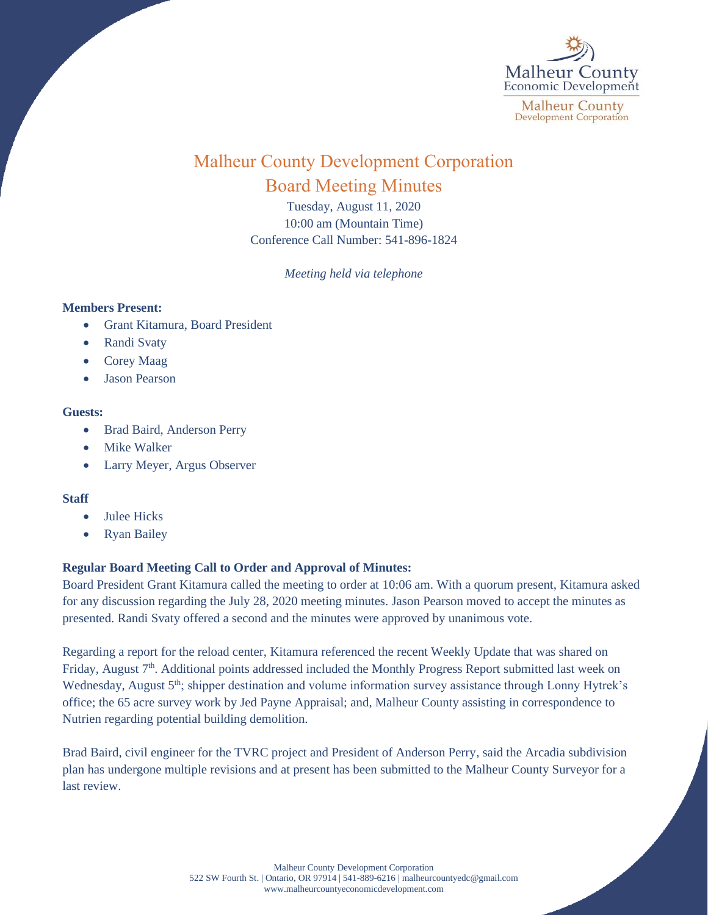

# Malheur County Development Corporation Board Meeting Minutes

Tuesday, August 11, 2020 10:00 am (Mountain Time) Conference Call Number: 541-896-1824

*Meeting held via telephone*

## **Members Present:**

- Grant Kitamura, Board President
- Randi Svaty
- Corey Maag
- Jason Pearson

## **Guests:**

- Brad Baird, Anderson Perry
- Mike Walker
- Larry Meyer, Argus Observer

## **Staff**

- Julee Hicks
- **Ryan Bailey**

## **Regular Board Meeting Call to Order and Approval of Minutes:**

Board President Grant Kitamura called the meeting to order at 10:06 am. With a quorum present, Kitamura asked for any discussion regarding the July 28, 2020 meeting minutes. Jason Pearson moved to accept the minutes as presented. Randi Svaty offered a second and the minutes were approved by unanimous vote.

Regarding a report for the reload center, Kitamura referenced the recent Weekly Update that was shared on Friday, August 7<sup>th</sup>. Additional points addressed included the Monthly Progress Report submitted last week on Wednesday, August 5<sup>th</sup>; shipper destination and volume information survey assistance through Lonny Hytrek's office; the 65 acre survey work by Jed Payne Appraisal; and, Malheur County assisting in correspondence to Nutrien regarding potential building demolition.

Brad Baird, civil engineer for the TVRC project and President of Anderson Perry, said the Arcadia subdivision plan has undergone multiple revisions and at present has been submitted to the Malheur County Surveyor for a last review.